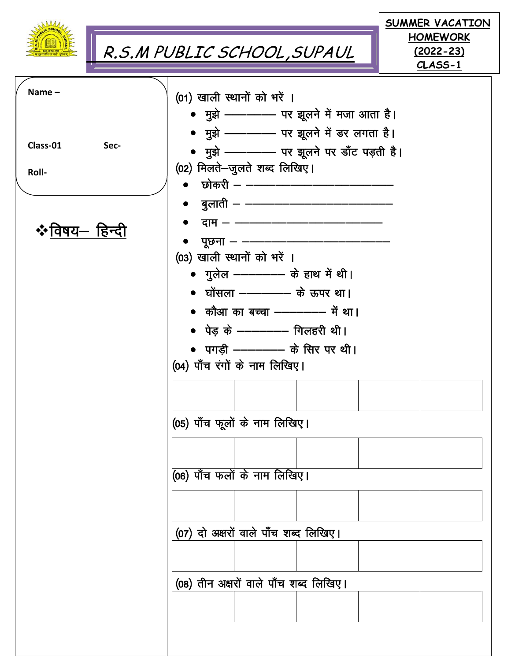|                                                |      | R.S.M PUBLIC SCHOOL, SUPAUL                                                                                                                                                                                                                                                                                                                                                                                                                                                                                                                                                                                                                                                         |                   | SUMMER VACATION<br><b>HOMEWORK</b><br><u>(2022–23)</u><br>CLASS-1 |
|------------------------------------------------|------|-------------------------------------------------------------------------------------------------------------------------------------------------------------------------------------------------------------------------------------------------------------------------------------------------------------------------------------------------------------------------------------------------------------------------------------------------------------------------------------------------------------------------------------------------------------------------------------------------------------------------------------------------------------------------------------|-------------------|-------------------------------------------------------------------|
| Name $-$<br>Class-01<br>Roll-<br>❖विषय— हिन्दी | Sec- | (01) खाली स्थानों को भरें ।<br>• मुझे --------- पर झूलने में मजा आता है।<br>• मुझे --------- पर झूलने में डर लगता है।<br>• मुझे ---------- पर झूलने पर डाँट पड़ती है।<br>(02) मिलते-जुलते शब्द लिखिए।<br>छोकरी – ––––––––<br>●     बुलाती — ————————<br>पूछना — — <del>——</del><br>(03) खाली स्थानों को भरें ।<br>• गुलेल ————— के हाथ में थी।<br>• घोंसला ————— के ऊपर था।<br>• कौआ का बच्चा ---------- में था।<br>• पेड के --------- गिलहरी थी।<br>• पगडी ------- के सिर पर थी।<br>(04) पाँच रंगों के नाम लिखिए।<br>(05) पाँच फूलों के नाम लिखिए।<br>$\overline{(06)}$ पाँच फलों के नाम लिखिए।<br>(07) दो अक्षरों वाले पाँच शब्द लिखिए।<br>(08) तीन अक्षरों वाले पाँच शब्द लिखिए। | दाम – ––––––––––– |                                                                   |
|                                                |      |                                                                                                                                                                                                                                                                                                                                                                                                                                                                                                                                                                                                                                                                                     |                   |                                                                   |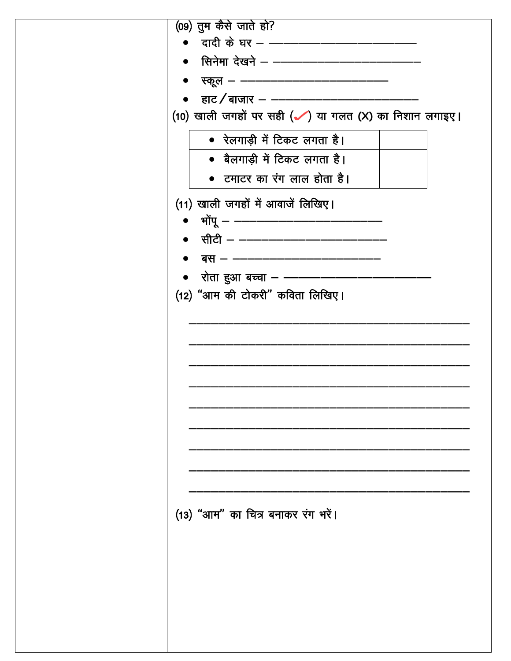| (09) तुम कैसे जाते हो?                                             |
|--------------------------------------------------------------------|
| • दादी के घर - --------------------------------                    |
|                                                                    |
| स्कूल — ————————————————                                           |
| •    हाट / बाजार –  ———————————                                    |
| (10) खाली जगहों पर सही ( $\checkmark$ ) या गलत (X) का निशान लगाइए। |
| • रेलगाड़ी में टिकट लगता है।                                       |
| • बैलगाड़ी में टिकट लगता है।                                       |
| • टमाटर का रंग लाल होता है।                                        |
| (11) खाली जगहों में आवाजें लिखिए।                                  |
| • भोंपू – ––––––––––––––––––––––––––––                             |
| • सीटी — ———————————————                                           |
| बस — ————————————————                                              |
| •    रोता हुआ बच्चा – –––––                                        |
| (12) "आम की टोकरी" कविता लिखिए।                                    |
|                                                                    |
|                                                                    |
|                                                                    |
|                                                                    |
|                                                                    |
|                                                                    |
|                                                                    |
|                                                                    |
|                                                                    |
|                                                                    |
|                                                                    |
|                                                                    |
| (13) "आम" का चित्र बनाकर रंग भरें।                                 |
|                                                                    |
|                                                                    |
|                                                                    |
|                                                                    |
|                                                                    |
|                                                                    |
|                                                                    |
|                                                                    |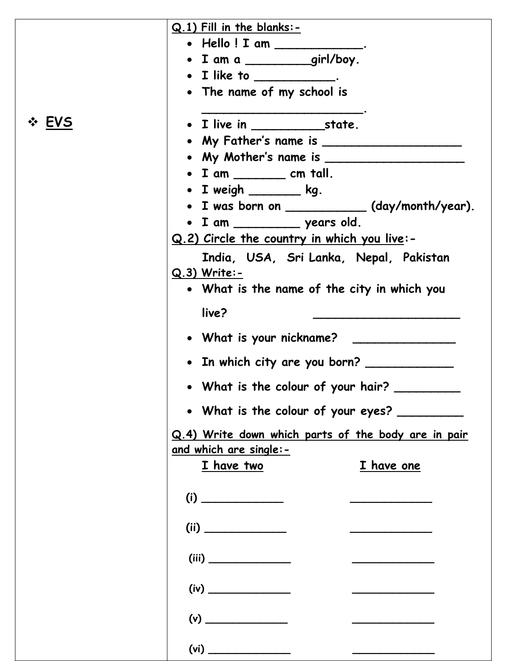|       | $Q.1$ ) Fill in the blanks:-<br>• Hello ! I am _____________.<br>· I am a _______girl/boy.<br>$\bullet$ I like to ____________.<br>• The name of my school is                                                                                                                                                                                                                                                                                                                                                                                                                                    |
|-------|--------------------------------------------------------------------------------------------------------------------------------------------------------------------------------------------------------------------------------------------------------------------------------------------------------------------------------------------------------------------------------------------------------------------------------------------------------------------------------------------------------------------------------------------------------------------------------------------------|
| ❖ EVS | • My Father's name is ________________________<br>$\bullet$ I am ___________ cm tall.<br>• I weigh ________ kg.<br>• I was born on ___________ (day/month/year).<br>· I am __________ years old.<br>Q.2) Circle the country in which you live:-<br>India, USA, Sri Lanka, Nepal, Pakistan<br>$Q.3)$ Write:-<br>• What is the name of the city in which you<br>live?<br>• In which city are you born? _____________<br>• What is the colour of your hair?<br>• What is the colour of your eyes? _________<br>Q.4) Write down which parts of the body are in pair<br><u>and which are single:-</u> |
|       | I have two<br>I have one<br>(i)<br>(ii)<br>(iii)<br>(iv)<br>(vi)                                                                                                                                                                                                                                                                                                                                                                                                                                                                                                                                 |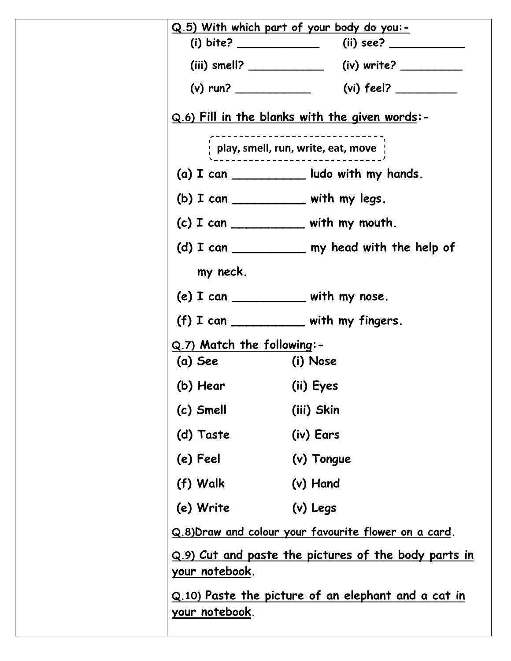|                                                                                                                                                                                                                                                                                                                       | <u>Q.5) With which part of your body do you:-</u>                                                                                                                                                                                                                                                                     |
|-----------------------------------------------------------------------------------------------------------------------------------------------------------------------------------------------------------------------------------------------------------------------------------------------------------------------|-----------------------------------------------------------------------------------------------------------------------------------------------------------------------------------------------------------------------------------------------------------------------------------------------------------------------|
|                                                                                                                                                                                                                                                                                                                       |                                                                                                                                                                                                                                                                                                                       |
|                                                                                                                                                                                                                                                                                                                       |                                                                                                                                                                                                                                                                                                                       |
|                                                                                                                                                                                                                                                                                                                       |                                                                                                                                                                                                                                                                                                                       |
|                                                                                                                                                                                                                                                                                                                       | <u>Q.6) Fill in the blanks with the given words</u> :-                                                                                                                                                                                                                                                                |
|                                                                                                                                                                                                                                                                                                                       | $\frac{1}{2}$ play, smell, run, write, eat, move                                                                                                                                                                                                                                                                      |
|                                                                                                                                                                                                                                                                                                                       | $(a)$ I can _____________ ludo with my hands.                                                                                                                                                                                                                                                                         |
| (b) $I can$ $\frac{1}{I}$ $\frac{1}{I}$ $\frac{1}{I}$ $\frac{1}{I}$ $\frac{1}{I}$ $\frac{1}{I}$ $\frac{1}{I}$ $\frac{1}{I}$ $\frac{1}{I}$ $\frac{1}{I}$ $\frac{1}{I}$ $\frac{1}{I}$ $\frac{1}{I}$ $\frac{1}{I}$ $\frac{1}{I}$ $\frac{1}{I}$ $\frac{1}{I}$ $\frac{1}{I}$ $\frac{1}{I}$ $\frac{1}{I}$ $\frac{1}{I}$ $\$ |                                                                                                                                                                                                                                                                                                                       |
|                                                                                                                                                                                                                                                                                                                       | $(c)$ I can ______________ with my mouth.                                                                                                                                                                                                                                                                             |
|                                                                                                                                                                                                                                                                                                                       | (d) I can _____________ my head with the help of                                                                                                                                                                                                                                                                      |
| my neck.                                                                                                                                                                                                                                                                                                              |                                                                                                                                                                                                                                                                                                                       |
| (e) $I$ can ______________ with my nose.                                                                                                                                                                                                                                                                              |                                                                                                                                                                                                                                                                                                                       |
|                                                                                                                                                                                                                                                                                                                       | (f) $I can$ $\frac{1}{I}$ $\frac{1}{I}$ $\frac{1}{I}$ $\frac{1}{I}$ $\frac{1}{I}$ $\frac{1}{I}$ $\frac{1}{I}$ $\frac{1}{I}$ $\frac{1}{I}$ $\frac{1}{I}$ $\frac{1}{I}$ $\frac{1}{I}$ $\frac{1}{I}$ $\frac{1}{I}$ $\frac{1}{I}$ $\frac{1}{I}$ $\frac{1}{I}$ $\frac{1}{I}$ $\frac{1}{I}$ $\frac{1}{I}$ $\frac{1}{I}$ $\$ |
| Q.7) Match the following:-                                                                                                                                                                                                                                                                                            |                                                                                                                                                                                                                                                                                                                       |
| (a) See (i) Nose                                                                                                                                                                                                                                                                                                      |                                                                                                                                                                                                                                                                                                                       |
| (b) Hear (ii) Eyes                                                                                                                                                                                                                                                                                                    |                                                                                                                                                                                                                                                                                                                       |
| (c) Smell                                                                                                                                                                                                                                                                                                             | (iii) Skin                                                                                                                                                                                                                                                                                                            |
| (d) Taste                                                                                                                                                                                                                                                                                                             | (iv) Ears                                                                                                                                                                                                                                                                                                             |
| (e) Feel                                                                                                                                                                                                                                                                                                              | (v) Tongue                                                                                                                                                                                                                                                                                                            |
| (f) Walk                                                                                                                                                                                                                                                                                                              | (v) Hand                                                                                                                                                                                                                                                                                                              |
| (e) Write                                                                                                                                                                                                                                                                                                             | (v) Legs                                                                                                                                                                                                                                                                                                              |
|                                                                                                                                                                                                                                                                                                                       | Q.8) Draw and colour your favourite flower on a card.                                                                                                                                                                                                                                                                 |
| your notebook.                                                                                                                                                                                                                                                                                                        | Q.9) Cut and paste the pictures of the body parts in                                                                                                                                                                                                                                                                  |
| your notebook.                                                                                                                                                                                                                                                                                                        | <u>Q.10) Paste the picture of an elephant and a cat in</u>                                                                                                                                                                                                                                                            |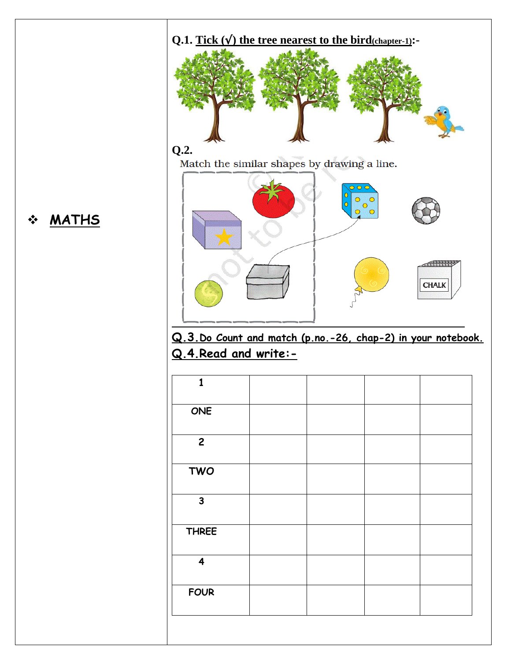

## **MATHS**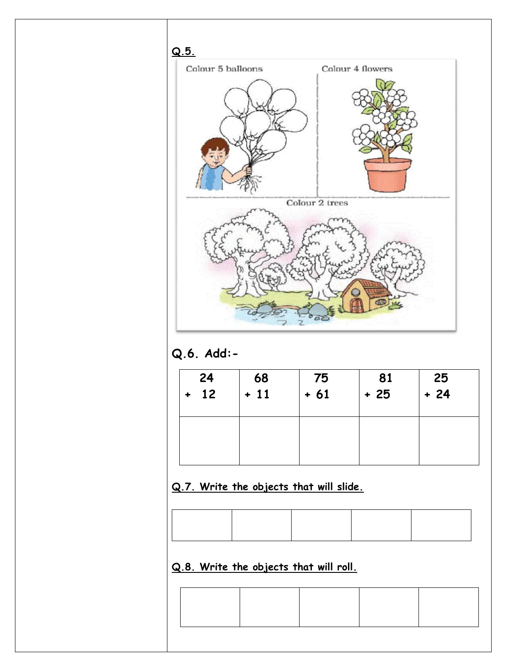

**Q.6. Add:-**

| 24<br>12<br>$\ddot{\phantom{1}}$ | $\begin{array}{ c} 68 \\ + 11 \end{array}$ | $^{1}$ 75<br>+ 61 | $\begin{array}{c} 81 \\ + 25 \end{array}$ | $25\n+ 24$ |
|----------------------------------|--------------------------------------------|-------------------|-------------------------------------------|------------|
|                                  |                                            |                   |                                           |            |

#### **Q.7. Write the objects that will slide.**

**Q.8. Write the objects that will roll.**

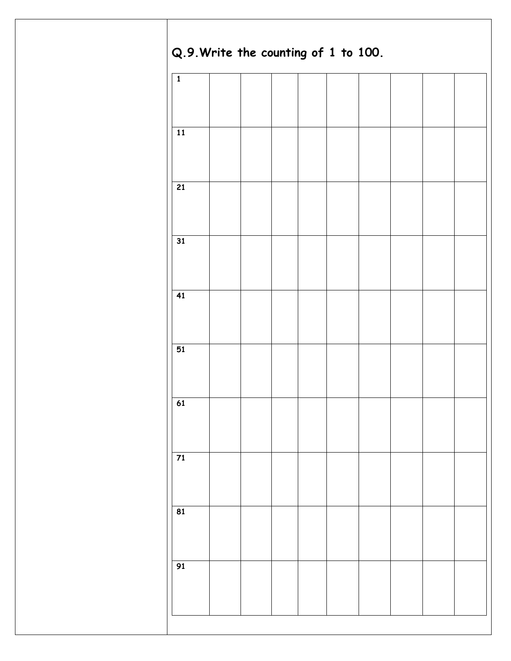| $\overline{\mathbf{1}}$  |  |  |  |  |  |
|--------------------------|--|--|--|--|--|
|                          |  |  |  |  |  |
|                          |  |  |  |  |  |
| ${\bf 11}$               |  |  |  |  |  |
|                          |  |  |  |  |  |
|                          |  |  |  |  |  |
| $\overline{21}$          |  |  |  |  |  |
|                          |  |  |  |  |  |
| 31                       |  |  |  |  |  |
|                          |  |  |  |  |  |
|                          |  |  |  |  |  |
| $\overline{41}$          |  |  |  |  |  |
|                          |  |  |  |  |  |
|                          |  |  |  |  |  |
| 51                       |  |  |  |  |  |
|                          |  |  |  |  |  |
|                          |  |  |  |  |  |
| 61                       |  |  |  |  |  |
|                          |  |  |  |  |  |
| $\frac{1}{71}$           |  |  |  |  |  |
|                          |  |  |  |  |  |
|                          |  |  |  |  |  |
| $\overline{\mathbf{81}}$ |  |  |  |  |  |
|                          |  |  |  |  |  |
|                          |  |  |  |  |  |
| 91                       |  |  |  |  |  |
|                          |  |  |  |  |  |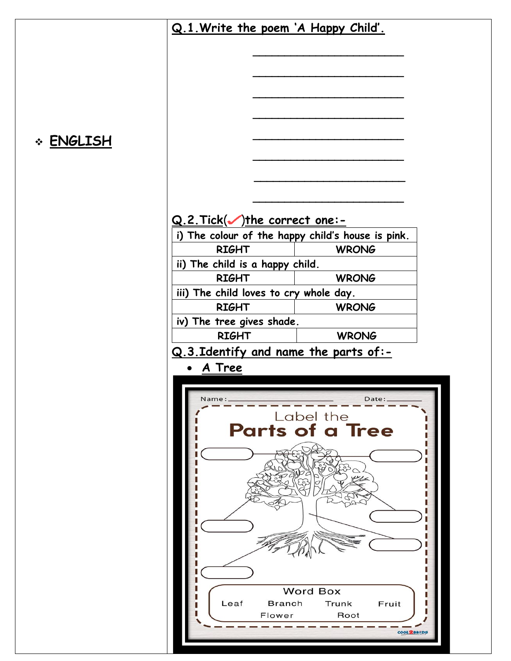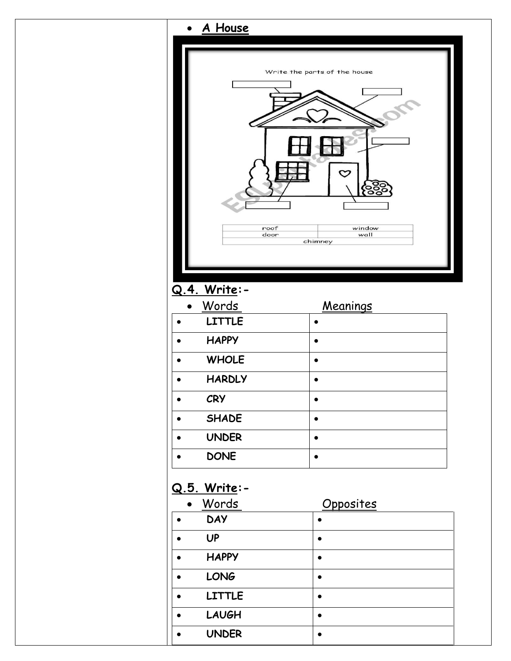